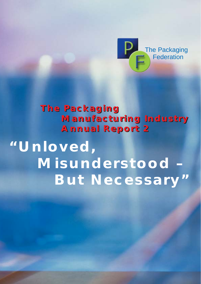

# **The Packaging The Packaging Manufacturing Industry Manufacturing Industry Annual Report 2 Annual Report 2**

# **"Unloved, Misunderstood – But Necessary"**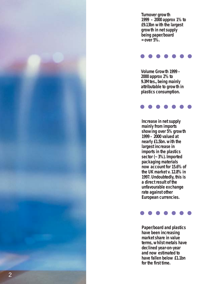*Turnover growth 1999 – 2000 approx 1% to £9.13bn with the largest growth in net supply being paper/board = over 5%.*

*2000 approx 2% to 9.3Mtes., being mainly attributable to growth in plastics consumption.* 



*Increase in net supply mainly from imports showing over 5% growth 1999 – 2000 valued at nearly £1.5bn. with the largest increase in imports in the plastics sector (~ 3%). Imported packaging materials now account for 15.6% of the UK market v. 12.8% in 1997. Undoubtedly, this is a direct result of the unfavourable exchange rate against other European currencies. Formalies Constitute Growth 1999*<br> *Formalies 28 to*<br> *formalies times, being mainly attributable to growth*<br> *plastics consumption.*<br> **formalies the first times of the first of the first increase in imports**<br> *inports in* 



*Paper/board and plastics have been increasing market share in value terms, whilst metals have declined year-on-year and now estimated to have fallen below £1.1bn*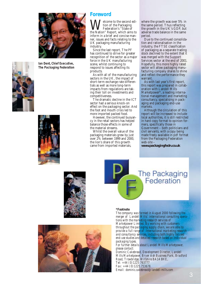



**Ian Dent, Chief Executive, The Packaging Federation**



#### **Foreword**

**W**elcome to the second edi-<br>federation's "State of<br>the Nation" Report, which aims to tion of the Packaging Federation's "State of inform in a brief and concise manner, issues and facts relating to the UK packaging manufacturing industry.

Since the last report, The PF has continued to strive for greater recognition of the sector as a major force in the UK manufacturing scene, whilst continuing to respond to issues affecting its products.

As with all of the manufacturing sectors in the UK, the impact of short-term exchange rate differentials as well as more long-term impacts from regulations are taking their toll on investments and competitiveness.

The dramatic decline in the ICT sector had a serious knock-on effect on the packaging sector. And the foot and mouth crisis led to more imported packed food.

However, the continued buoyancy in the retail sectors has helped balance those effects in some of the material streams.

Whilst the overall value of the packaging materials grew by just over 2% between 1999 and 2000, the lion's share of this growth came from imported materials,

where the growth was over 5% in the same period. Thus reflecting the growth in the UK's GDP, but adverse trade balance in the same period.

Due to the continued consolidation and rationalisation in the industry, the FTSE classification of packaging as a separate trading stock declined to the extent that it was merged with the Support Services sector at the end of 2001. Hopefully, this more highly rated sector will allow packaging manufacturing company shares to shine and reflect the performance they warrant.

As with last year's first report, this report was prepared in collaboration with Landell Mills Marketpower\*, a leading international management and marketing consultancy, specialising in packaging and packaging end-use markets.

Although the circulation of this report will be increased to include local authorities, it is still restricted in hard copy format to opinion formers, specifically those in Government – both politicians and civil servants, with a copy being made freely available in pdf format from the Packaging Federation web-site –

**www.packagingfedn.co.uk**

**The Packaging** Federation





#### *\*Footnote*

*The company was formed in August 2000 following the merger of Landell Mills' international consulting operations with the marketing research services of Marketpower Limited. By working with customers throughout the packaging supply chain, we are able to provide a full range of international marketing research and consultancy services, including both highly focused end-use studies and detailed research based on individual packaging types.* 

*For further details about Landell Mills Marketpower, please contact:*

*Dominic Cakebread, Development Director, Landell Mills Marketpower, Bryer Ash Business Park, Bradford Road, Trowbridge, Wiltshire BA14 8HE, Tel: +44 (0)1225 763777 Fax: +44 (0)1225 753678. Email: dominic.cakebread@landell-mills.com*

3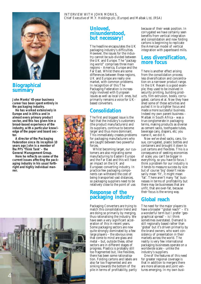### **Biographical summary**

**John Monks' 45-year business career has been spent entirely in the packaging industry.** 

**He has worked extensively in Europe and in Africa and in almost every primary product sector, and this has given him a broad-based experience of the industry, with a particular knowledge of the paper and board sector.**

**A director of the Packaging Federation since its inception 10 years ago John is a member of the PF's 'Think Tank' – the General Management Group.** 

**Here he reflects on some of the current issues affecting the packaging industry in his usual forthright and highly individual manner.** 



## **misunderstood, but necessary!**

INTERVIEW WITH JOHN MONKS,

The headline encapsulates the UK packaging industry's difficulties. However, the issues for the industry cannot be sub-divided between the UK and Europe. The "packaging world" comprises three main regions – America, Europe and the Far East. Whilst there are some differences between these regions, UK and Europe are really one market, with common problems. In recognition of this The Packaging Federation is increasingly involved with European issues as well as local UK ones, but primarily remains a voice for UKbased converters.

### **Consolidation**

The first and biggest issue is the fact that the industry's customers (the product manufacturers) and its suppliers, continue to become larger and thus more dominant. This immediately creates problems for packaging manufacturers who are caught between two powerful forces.

Whilst becoming larger, our customers are also migrating some manufacturing to Eastern Europe and the Far East and this will have an impact on the UK and European converting industry. In practice few packaging components can withstand the cost of being transported vast distances, so packaging suppliers need to be relatively close to the point of use.

#### **Response of the packaging industry**

Packaging Converters are trying to match this consolidation trend and are doing so primarily by merging, thus rationalising the industry. We have seen a very significant acceleration of this in recent years. Some packaging sectors are now quite strongly dominated by a few large players – the obvious ones that come to mind are glass and metal – but, outside these, other sectors are in different stages of progress. Plastics is probably still too fragmented but, like flexibles, there has been some rationalisation. Folding cartons and labels are also far too fragmented and are sinking towards the bottom of the pile in terms of profitability, partly because of their weak position. In corrugated we have certainly seen benefits from vertical integration and consolidation and now folding cartons is beginning to replicate the American model of vertical integration with paperboard mills.

#### **Less diversification, more focus**

There is another effect arising from the consolidation process; less diversification and concentration on a narrower product range. In the UK Rexam is a good example; they used to be involved in security printing, building products, film extrusion, books, corrugated, cartons et al. Now they have shed some of those activities and pulled it in to a tighter focus and made a more successful business. Indeed my own parent business – Malbak in South Africa – was a true conglomerate in packaging terms, making products as diverse as cement sacks, toothpaste tubes, beverage cans, diapers, etc; you name it, we did it.

Now we've shed sacks, cans, tissue, corrugated, plastic bottles and containers and brought it down to just cartons and flexibles. This is a consequence of seeking economies of scale; you can't be bigger in everything, so you have to focus. I think a problem for our industry is it tends to measure success by size but of course 'big' doesn't necessarily mean 'fit', it might mean 'fat'. There aren't many 'fat' businesses in terms of profitability but there may be businesses that are unfit, that are over-fat, because their focus is the wrong way.

### **Global reach**

The need for the major players to have a broader "global reach" – it's a wonderful term but I prefer 'geographical spread'  $-$  is I think sometimes overstated. Demand is still regionally based rather than 'global' but it's driven primarily by the brand owners, who want consistency of presentation in their markets across the world. The reality is very few international packaging businesses operate on a worldwide scale – unlike the industry's suppliers.

One of the features of this need for greater regional coverage is that in addition to mergers there are more alliances and joint ventures emerging. In my own busi-



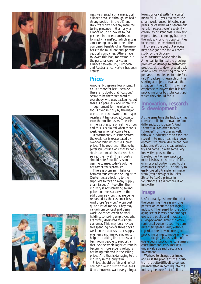





ness we created a pharmaceutical alliance because although we had a strong position in the UK and Italy, we didn't have any manufacturing presence in Germany or France or Spain. So we found partners in those countries and formed PharmaPact (which acts as a marketing body to present the combined benefits of all the members to the multi-national pharmaceutical companies. Others have followed this lead, for example in the personal care market an alliance between US, European and Australian converters has been created.

#### **Prices**

Another big issue is low pricing. I call it "more for less" because there is no doubt that "cost out" seems to be the watch word of everybody who uses packaging, but there is a parallel – and unrealistic – requirement for more benefits too. Driven initially by the major users, the brand owners and major retailers, it has dropped down to even the smaller users. There is immense pressure on selling prices and this is exploited when there is weakness amongst converters.

Unfortunately in some sectors the weakness is exacerbated by over-capacity which fuels lower prices. The excellent initiative by Jefferson Smurfit of capacity constraint and maximised assets has served them well. The industry should note Smurfit's vision of gearing to meet today's volume, not tomorrow's promises.

There is often an imbalance between true cost and selling price. Customers are looking to their suppliers to take on many supply chain issues. All too often the industry is not achieving selling prices commensurate with the additional services that are being requested by the customer base. And those "services" often cost quite a lot of money. They may range from concept and design work, extended credit or stock holding, to having employees who are totally dedicated to a single customer. This may be an executive spending two or three days a week on the user's site, or supply engineers and line operatives to help the packing line process, and back room people to support all that. So the whole logistics issue is becoming more expensive but is not being reflected in the selling prices. And that is damaging to the industry in the long term.

Prices should be fair and reflect competitive and sustainable levels. Users, however, want everything at lowest price yet with "a la carte" menu frills. Buyers too often use small, weak, unsophisticated suppliers' price levels as a benchmark for all, irrespective of capability, credibility or standards. They also expect latest technology but deny the industry pricing opportunities to recover the investment cost.

However, the cost out process may have gone too far. A recent study by the Grocery Manufacturers Association in America highlighted the growing problem of damage to customers' products due to downgraded packaging – now amounting to \$2.5bn per year. I am pleased to note Pira (a UK packaging research unit) is starting a project to evaluate the situation in the UK. This will reemphasise to buyers that it is not packaging price but total cost upon which they should focus.

#### **Innovation, research & development**

At the same time the Industry has constant calls for innovation; "do it differently, do it better". And "better" all too often means "cheaper" for the user as well. I think our industry has an excellent record in terms of technical development, structural design and new solutions. We are a creative industry and come up with some very innovative presentations. Development of new packs or materials has extended shelf life, or improved portion sizes, to the consumers' benefit. The ability to easily digitally transfer an image from (say) a designer in Baker Street to (say) a printer in Scunthorpe is a direct result of innovation.

#### **Image**

Unfortunately, as I mentioned at the beginning, there is a wrong perception about the packaging industry. The regard for the packaging sector is very poor amongst users, the public and investors. Over-packaging, litter and environmental concerns seem to dominate their general view, without regard to the conveniences good packaging brings to modern living. The packaging industry doesn't over-specify packaging, consumers cause litter and stock markets under value us and discourage investment.

We have to change our image and raise the profile of the industry. It is quite difficult to get people interested in coming into the industry because first of all it's

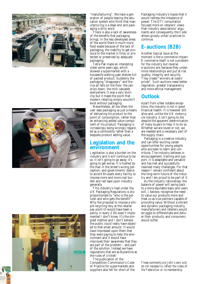





"manufacturing". We have a generation of people leaving the education system who think that manufacturing is a dead end and pack aging a dirty word.

There is also a lack of awareness of the benefits that packaging brings. In the less developed areas of the world there is much more food waste because of the lack of packaging, the inability to get produce to the market in time, or protected or preserved by adequate

Tetra Pak made an interesting. video some years ago, which showed a supermarket with a housewife walking past shelves full of packed product. Suddenly the packaging "disappears" and the rice all falls on the floor, the jam drips down, the milk cascades everywhere. It was a very short clip but it made the point that modern retailing simply wouldn't exist without packaging.

Nevertheless, all too often the user sees packaging as just a means of delivering his product to the point of consumption, rather than an enhancing added value component of his product. Packaging is increasingly being wrongly regarded as a commodity rather than a bespoke product adding value.

#### **Legislation and the environment**

Legislation is also a burden on the industry and it will continue to be so. It isn't going to go away; it's going to get worse. It is fuelled by the man in the street's wrong perception, and governments' desire to accord Brussels every facility to impose more and more cost burden and red tape upon industry generally.

This industry's load under the UK Packaging Regulations is disproportionate to "who is the polluter and who gets the benefit". Why the proposal to impose a simple recycling levy at the retailer pay point (it would have been a penny in every £10) wasn't implemented I don't know. It's the simplest method and I don't believe the public could really have objected to that small amount. It would have impressed upon them that they were paying to help the environment and it would have improved their awareness that they are part of the problem – and part of the solution. Instead we have regulations that are as Byzantine as the rules of cricket!

The publication of the Competition Commission's Code of Practice for supermarkets and suppliers also fell for short of the Packaging Industry's hopes that it would redress the imbalance of power. The DTI consultation focused more on retailers' views than industry associations' arguments and consequently the Code allows grossly unfair practices to continue.

### **E-auctions (B2B)**

Another topical issue at the moment is the e-commerce impact. E-commerce itself is not a problem for the industry but reverse e-auctions are, because they undermine relationships and put at risk quality, integrity and security. They create "winners at losers' prices". Such auctions need better regulation, greater transparency and more ethical management.

#### **Outlook**

Apart from a few notable exceptions, the industry is not in good financial health. It is however still alive and, unlike the UK motorcy cle industry, it isn't going to die despite the apparent determination of many buyers to help it to do so. Whether we are loved or not, we are needed and a necessary part of the supply chain.

Packaging is a creative industry, and can offer exciting career opportunities for young people who are keen to learn and contribute. The industry believes in encouragement, training and support. It is adaptable and versatile and has met and successfully resolved many challenges. For that reason I remain confident about the long-term future of the industry and I am proud to be part of it.

As the industry rationalises, the balance of power will swing back to a more equitable basis and users will, I believe, recognise the need to value our products more and treat us as true partners capable of providing value. Without a vibrant and dynamic packaging industry, manufacturers and retailers would struggle to differentiate and deliver their products, and consumers would suffer.

*These comments are John's own and do not necessarily reflect the views of the Federation or its membership.*

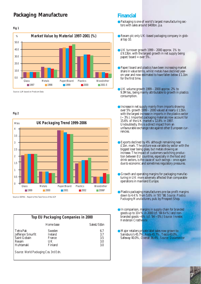### **Packaging Manufacture**

### Glass Metals Paper/Board Plastics Wood/other ■ 1997 **■ 1998 ■ 1999 ■ 2000 ■ 2001 E Market Value by Material 1997-2001 (%)** 50.0 40.0 30.0 20.0 10.0 0.0 % **Fig 1**

Source: LLM based on Prodcom Data

#### **Fig 2**



Source: DEFRA – Report of the Task Force of the ACP

| <b>Top EU Packaging Companies in 2000</b>                                          |                                                     |                                 |  |  |  |
|------------------------------------------------------------------------------------|-----------------------------------------------------|---------------------------------|--|--|--|
|                                                                                    | Home base                                           | SalesUS\$bn                     |  |  |  |
| <b>Tetra Pak</b><br>Jefferson Smurfit<br><b>Saint Gobain</b><br>Rexam<br>Huhtamaki | Sweden<br><b>Ireland</b><br>France<br>UK<br>Finland | 6.7<br>3.7<br>3.5<br>3.0<br>3.0 |  |  |  |
| Source: World Packaging Cos. 3rd Edn.                                              |                                                     |                                 |  |  |  |

### **Financial**

- ●Packaging is one of world's largest manufacturing sectors with sales around \$400bn. p.a.
- Rexam plc only UK-based packaging company in global top 10.
- $\bullet$  UK turnover growth 1999 2000 approx. 1% to £9.13bn. with the largest growth in net supply being paper/board = over  $5\%$ .
- Paper/board and plastics have been increasing market share in value terms, whilst metals have declined yearon-year and now estimated to have fallen below £1.1bn for the first time.
- $\bullet$  UK volume growth 1999 2000 approx. 2% to 9.3Mtes., being mainly attributable to growth in plastics consumption.
- Increase in net supply mainly from imports showing over  $5\%$  growth  $\overline{1999} - 2000$  valued at nearly £1.5bn. with the largest increase in imports in the plastics sector (~ 3%). Imported packaging materials now account for 15.6% of the UK market v. 12.8% in 1997. Undoubtedly, this is a direct impact from an unfavourable exchange rate against other European currencies.
- Exports declined by 4% although remaining near £1bn. mark. The picture was variable by sector with the biggest loser being glass, but metals showing an increase. The impact of customers switching production between EU countries, especially in the food and drink sectors, is the cause of such swings – once again due to economic and sometimes regulatory pressures.
- **Growth and operating margins for packaging manufac**turing in UK more adversely affected than comparable operations in mainland Europe.
- ●Plastics packaging manufacturers pre-tax profit margins down to 4.4.% from 5.6% in '97/'98. *Source: Plastics Packaging Manufacturers*, pub. by Prospect Shop.
- ●In comparison, margins in supply chain for branded goods up to  $10+%$  in 2000 (cf.  $846+%$ ) and nonbranded goods ~6% (cf. '84 ~5%) *Source: Investec Henderson Crosthwaite*
- Major retailers private label sales now grown to: Sainsbury's 45.7%, Asda 45.7%, Tesco 43.0%, Safeway 40.0%, Overall 36.4%. *Source: Datamonitor*

7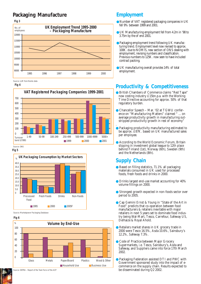# **Packaging Manufacture Employment**



Source: LLM from Nomis data

**Fig 4**



**Fig 5**



Source: Marketpower Packaging Database

**Fig 6**



Source: DEFRA – Report of the Task Force of the ACP

- ●Number of VAT registered packaging companies in UK fell 9% between 1999 and 2001.
- ●UK Manufacturing employment fell from 4.2m in '98 to 3.75m by the of end 2001.
- ●Packaging employment trend following UK manufacturing trend. Employment level now revised to approx. 100K. due to NOMIS, new section of ONS dealing with employment, revising numbers and classification. Previous numbers to 125K. now seen to have included contract packing.
- ●UK manufacturing overall provides 14% of total

### **Productivity & Competitiveness**

- British Chambers of Commerce claims "Red Tape" now costing industry £15bn.p.a. with the Working Time Directive accounting for approx. 50% of that regulatory burden.
- Chancellor Speech Mar. '02 at TGWU conference on "Manufacturing Matters" claimed " ... on average productivity growth in manufacturing outstripped productivity growth in rest of economy"
- . Packaging productivity manufacturing estimated to be approx. £87K. based on UK manufactured sales per employee.
- According to the World Economic Forum, Britain slipping in investment global league to 12th place behind Finland (1st), Norway (6th), Sweden (9th) and the Netherlands (8th).

### **Supply Chain**

- Based on filling statistics, 71.1% all packaging materials consumed in UK used for processed foods, fresh foods and drinks in 2000.
- Drinks largest end-use market accounting for 40% volume fillings on 2000.
- Strongest growth expected in non-foods sector over period to 2005.
- Cap Gemini Ernst & Young in "State of the Art in Food" predicts that co-operation between food manufacturers & retailers inevitable with major retailers in next 5 years set to dominate food industry being Wal-Mart, Tesco, Carrefour, Safeway US, Delhaize & Royal Ahold.
- Retailers market shares in UK grocery trade in 2000 were Tesco 16.5%, Asda 10.6%, Sainsbury's 12.2%, Safeway 7.3%.
- **Code of Practice between Major Grocery** Supermarkets, i.e. Tesco, Sainsbury's, Asda and Safeway, and Suppliers came into force 17th March 2002.
- Packaging Federation assisted DTI and PWC with Government sponsored study into the impact of ecommerce on the supply chain. Results expected to be disseminated during Q2 2002.

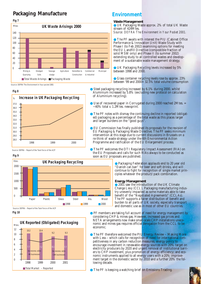# **Packaging Manufacture**



Source: DEFRA *The Environment in Your pocket 2001*





Source: DEFRA – Report of the Task Force of the ACP



**Fig 10**



### **Environment**

#### **Waste Management**

● UK Packaging Waste approx. 2% of total UK Waste stream of 424Mtes. *Source: DEFRA The Environment in Your Pocket 2001.* 

● The PF awaits with interest the PIU (Cabinet Office Performance & Innovation Unit) Waste Study with Phase I (to Feb 2002) examining options for meeting the EU Landfill Directive (compostible fraction of solid MSW only) and Phase II (to summer 2002) extending study to all controlled wastes and development of a sustainable waste management strategy.

● UK Packaging Recycling levels increased by 5% between 1998 and 2000.

● Glass container recycling levels rose by approx. 23% between '99 and 2000= 32.5% total volume consumption

- Steel packaging recycling increased by 6.1% during 2000, whilst Aluminium increased by 5.8% (excluding new protocol on calculation of Aluminium recycling).
- $\bullet$  Use of recovered paper in Corrugated during 2000 reached 2Mtes.  $=$  $\sim$ 40% total v. 1.2Mtes. newsprint.
- The PF notes with dismay the continuing decline in reported (obligated) packaging as a percentage of the total waste as this places larger and larger burdens on the "good guys".
- EU Commission has finally published its proposals for the revision of EU Packaging & Packaging Waste Directive. The PF seeks minimum intervention at this stage due to current discussions in Brussels on a re-think of waste strategy under the 6th Environmental Action Programme and ratification of the EU Enlargement process.
- The PF welcomes the DTI Regulatory Impact Assessment (RIA) on the EU Proposals and calls for such RIAs always to be conducted as soon as EU proposals are published.

● Packaging Federation applauds end to 20 year old "Danish can ban" for beer and soft drinks, and will continue to fight for recognition of single market principles whatever the product/pack combination.

#### **Energy Management**

● 2001 saw the introduction of the UK Climate Change Levy (CCL). Packaging manufacturing industry unevenly impacted as some materials able to take benefit of the "Negotiated Agreements" (CCLAs). The PF supports a fairer distribution of benefit and burden to all parts of UK society, especially transport and domestic use as in most of other EU countries.

● PF members are taking full account of need for energy management by considering CHP & mines gas. However, increased gas prices and NETA arrangements now make small-scale CHP installations uneconomic and mines gas requires official derogation from the CCL to be economic.

- **The PF therefore welcomed the PIU Energy Review Making More** with Less – which calls for recognition of need for international competitiveness in any carbon reduction measures; energy policy to encourage investment in renewable energy sources with 20% target on electricity producers by 2020 and urgent removal of institutional barriers to CHP investment, plus promotion of energy efficiency; and economic instruments applied to all energy users with a 20% improvement target in the domestic sector by 2010 and a further 20% the following decade.
- **The PF is keeping a watching brief on Emissions Trading.**

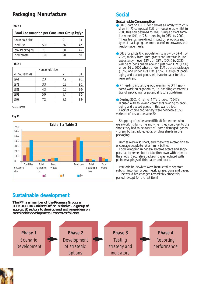### **Packaging Manufacture**

#### **Table 1**

| Food Consumption per Consumer Group kg/yr |     |     |    |  |
|-------------------------------------------|-----|-----|----|--|
| Household size                            |     |     | 3+ |  |
| Food Use                                  | 590 | 560 |    |  |
| <b>Total Packaging</b>                    | 70  | 60  | 45 |  |
| Food Waste                                | 120 |     | 50 |  |

#### **Table 2**

| Household size |     |     |     |  |  |
|----------------|-----|-----|-----|--|--|
| M. households  |     |     | 3+  |  |  |
| 1961           | 2.3 | 4.9 | 9.1 |  |  |
| 1971           | 3.3 | 5.8 | 9.1 |  |  |
| 1981           | 4.3 | 6.2 | 9.0 |  |  |
| 1991           | 5.9 | 7.4 | 8.5 |  |  |
| 1998           | 72  | 8.6 | 8.9 |  |  |

Source: INCPEN

#### **Fig 11**



### **Social**

#### **Sustainable Consumption**

- ONS data on UK Living shows a Family with children in '75 composed 71% of households, whilst in 2000 this had declined to 36%. Single parent families were  $10\%$  in '75, increasing to  $26\%$  by 2000. These trends have direct impact on products and type of packaging, i.e. more use of microwaves and ready-made meals.
- $\bullet$  ONS predicts UK population to grow by 5+M. by 2025, mainly from immigrants and increase in life expectancy – over 13M. of 65M. (20%) by 2025 will be of pensionable age and just over  $11M.(17%)$ under 16  $\overline{v}$ . 2000 where under 11M. pensionable age  $(18\%)$  and under 16's 12M.(20%). Design of packaging and packed goods will have to cater for this reverse trend.
- PF leading industry group examining DTI sponsored work on ergonomics, i.e. handling characteristics of packaging for potential future guidelines.
- During 2001, Channel 4 TV showed "1940's House" with following comments relating to packaging and packed goods in this war period: Lack of choice and variety were noticeable; 350 varieties of biscuit became 20.

Shopping often became difficult for women who were working full-time and when they could get to the shops they had to be aware of 'bomb damaged' goods – green butter, addled eggs, or glass shards in the packaging.

Bottles were also short, and there was a campaign to encourage people to return milk bottles.

Food wrapping in general became scarce and shoppers had to remember to take their own with them to the shops. Decorative packaging was replaced with plain wrappings of thin paper and board.

Patriotic housewives were instructed to separate rubbish into four types: metal, scraps, bone and paper. The world has changed remarkably since this period, except for the last item!

### **Sustainable development**

**The PF is a member of the Pioneers Group, a DTI/DEFRA/Cabinet Office initiative – a group of approx. 20 sectors to develop and exchange ideas on sustainable development. Process as follows:**



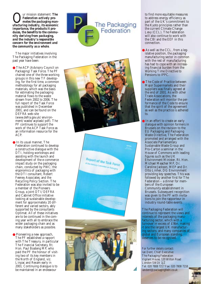Our mission statement: *The Federation actively pro-ufacturing industry, its economic motes the packaging manimportance, the products it produces, the benefits to the community deriving from packaging, and the industry's responsible concern for the environment and the community as a whole* .

The major initiatives involving The Packaging Federation in the past year have been:

- The ACP (Advisory Council on Packaging) Task Force. The PF chaired one of the three working groups in this new TF developing, for the first time, a common methodology for all packaging materials, which was the basis for estimating the packaging material flows to the waste stream from 2002 to 2006. The full report of the Task Force was published in December 2001, and can be found on the DEFRA web-site (www.defra.gov.uk/environment/waste/acptask/pdf). The PF continues to support the work of the ACP Task Force as an information resource for the ACP.
- In its usual manner, The Federation continued to develop a constructive dialogue with the DTI, holding workshops and assisting with the launch and development of the e-commerce impact study on the packaging chain, conducted by PWC; the ergonomics of packaging with the DTI consultant, Robert Feeney Associates; and the Recycling Policy Section. The Federation was also invited to be a member of the Pioneers Group, a joint DTI/DEFRA and Cabinet Office initiative looking at sustainable development for approximately 20 different and varied sectors, ably supported by the consultants Optimat. All of these initiatives are to be continued in the coming year with all to embrace the wider packaging chain and as many stakeholders as possible.
- Pioneering a new approach, The PF established a rapport with The Treasury, in particular The Financial Secretary, Rt. Hon. Paul Boateng MP, who paid the PF the honour of visiting two of its key members in the North of England, viz. Linpac and Rexam early in 2001. Continuing dialogue is to be maintained in an endeavour









to find more equitable measures to address energy efficiency as part of the UK's commitment to the Kyoto principles rather than the current Climate Change Levy (CCL). The Federation will also continue to work with the CBI and the EEF in this connection.

- As well as the CCL, from a legislative position, the packaging manufacturing sector in common with the rest of manufacturing has had to cope with an increasing financial burden from the Working Time Directive to Pensions to IPPC.
- The Code of Practice between Major Supermarkets and their suppliers was finally agreed at the end of 2001. As with other Trade Associations, the Federation will monitor the performance of the Code to ensure that the spirit of the agreement as well as the practice is adhered to.
- In an effort to create an early dialogue with opinion formers in Brussels on the revision to the EU Packaging and Packaging Waste Directive, The Federation promoted and arranged with the Associate Parliamentary Sustainable Waste Group and Pro-Carton a seminar in the House of Commons with leading figures such as the UK Environment Minister, Rt. Hon. Michael Meacher MP, Dr. Caroline Jackson, MEP and Dr. Otto Linher, DG Environment providing key speeches. This was followed by another first for The Federation – a dinner for members of the European Community establishment in Brussels. Subsequent recognition was given to the PF with invitations to join the rapporteur in industry round-table events.

The Packaging Federation will continue to represent the views and interests of the packaging manu facturing sector, which with a turnover in excess of £9bn. making it one the largest UK manufacturing sectors; and many companies of global and European standing, deserves to be recognised.

For further details contact: Ian Dent, Chief Executive The Packaging Federation Vigilant House, 120 Wilton Road London SW1V 1JZ Tel: 020 7808 7217 Fax: 020 7808 7218 iandent@packagingfedn.co.uk

11